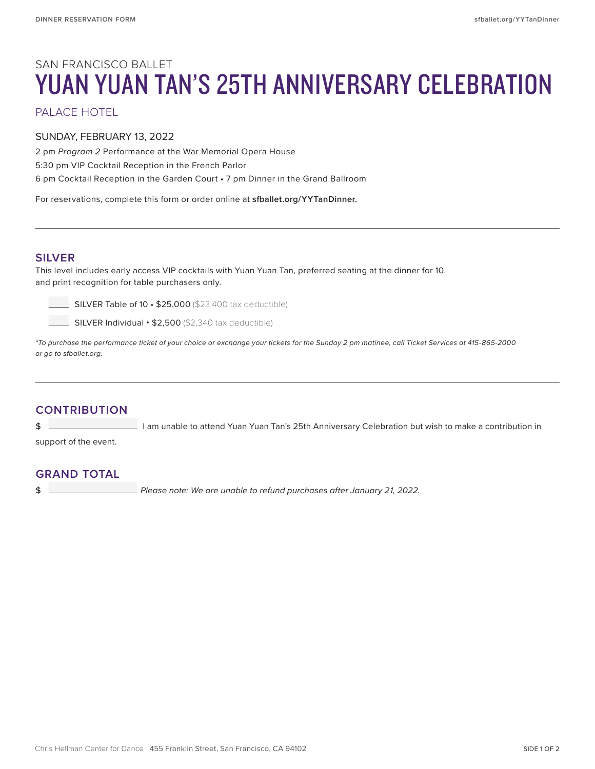# SAN FRANCISCO BALLET YUAN YUAN TAN'S 25TH ANNIVERSARY CELEBRATION

PALACE HOTEL

#### SUNDAY, FEBRUARY 13, 2022

2 pm *Program 2* Performance at the War Memorial Opera House 5:30 pm VIP Cocktail Reception in the French Parlor 6 pm Cocktail Reception in the Garden Court • 7 pm Dinner in the Grand Ballroom

For reservations, complete this form or order online at **sfballet.org/YYTanDinner.**

#### **SILVER**

This level includes early access VIP cocktails with Yuan Yuan Tan, preferred seating at the dinner for 10, and print recognition for table purchasers only.

 $\Box$  SILVER Table of 10  $\cdot$  \$25,000 (\$23,400 tax deductible)

 $\Box$  SILVER Individual  $\cdot$  \$2,500 (\$2,340 tax deductible)

*\*To purchase the performance ticket of your choice or exchange your tickets for the Sunday 2 pm matinee, call Ticket Services at 415-865-2000 or go to sfballet.org.*

# **CONTRIBUTION**

\$ I am unable to attend Yuan Yuan Tan's 25th Anniversary Celebration but wish to make a contribution in

support of the event.

## **GRAND TOTAL**

\$ *Please note: We are unable to refund purchases after January 21, 2022.*